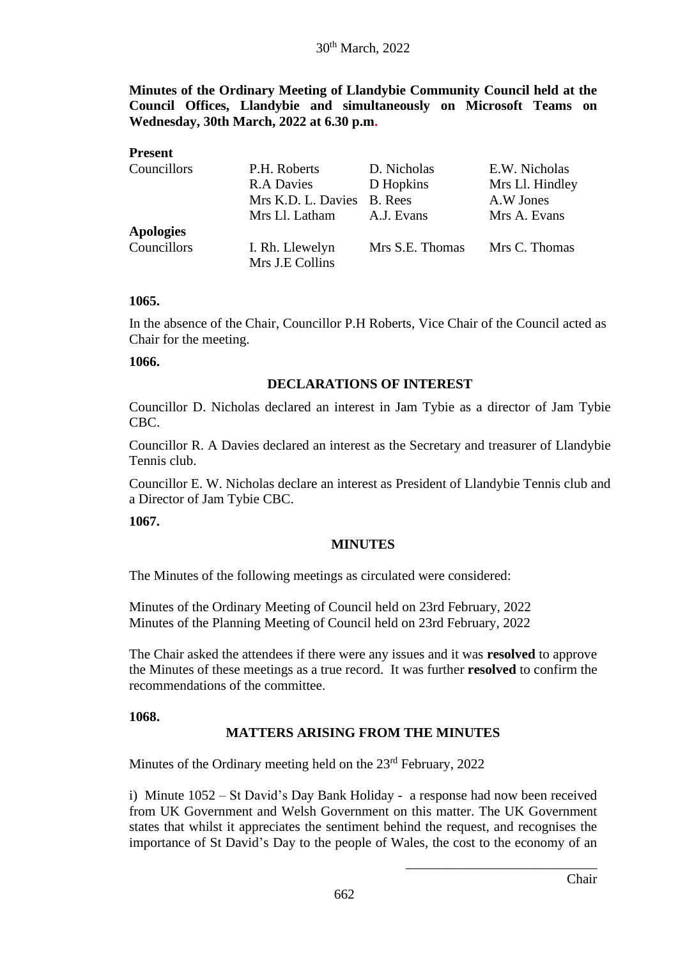**Minutes of the Ordinary Meeting of Llandybie Community Council held at the Council Offices, Llandybie and simultaneously on Microsoft Teams on Wednesday, 30th March, 2022 at 6.30 p.m.**

## **Present** Councillors P.H. Roberts D. Nicholas E.W. Nicholas R.A Davies D Hopkins Mrs Ll. Hindley Mrs K.D. L. Davies B. Rees A.W Jones Mrs Ll. Latham A.J. Evans Mrs A. Evans **Apologies** Councillors I. Rh. Llewelyn Mrs S.E. Thomas Mrs C. Thomas Mrs J.E Collins

#### **1065.**

In the absence of the Chair, Councillor P.H Roberts, Vice Chair of the Council acted as Chair for the meeting.

#### **1066.**

#### **DECLARATIONS OF INTEREST**

Councillor D. Nicholas declared an interest in Jam Tybie as a director of Jam Tybie CBC.

Councillor R. A Davies declared an interest as the Secretary and treasurer of Llandybie Tennis club.

Councillor E. W. Nicholas declare an interest as President of Llandybie Tennis club and a Director of Jam Tybie CBC.

**1067.**

#### **MINUTES**

The Minutes of the following meetings as circulated were considered:

Minutes of the Ordinary Meeting of Council held on 23rd February, 2022 Minutes of the Planning Meeting of Council held on 23rd February, 2022

The Chair asked the attendees if there were any issues and it was **resolved** to approve the Minutes of these meetings as a true record. It was further **resolved** to confirm the recommendations of the committee.

#### **1068.**

## **MATTERS ARISING FROM THE MINUTES**

Minutes of the Ordinary meeting held on the 23<sup>rd</sup> February, 2022

i) Minute 1052 – St David's Day Bank Holiday - a response had now been received from UK Government and Welsh Government on this matter. The UK Government states that whilst it appreciates the sentiment behind the request, and recognises the importance of St David's Day to the people of Wales, the cost to the economy of an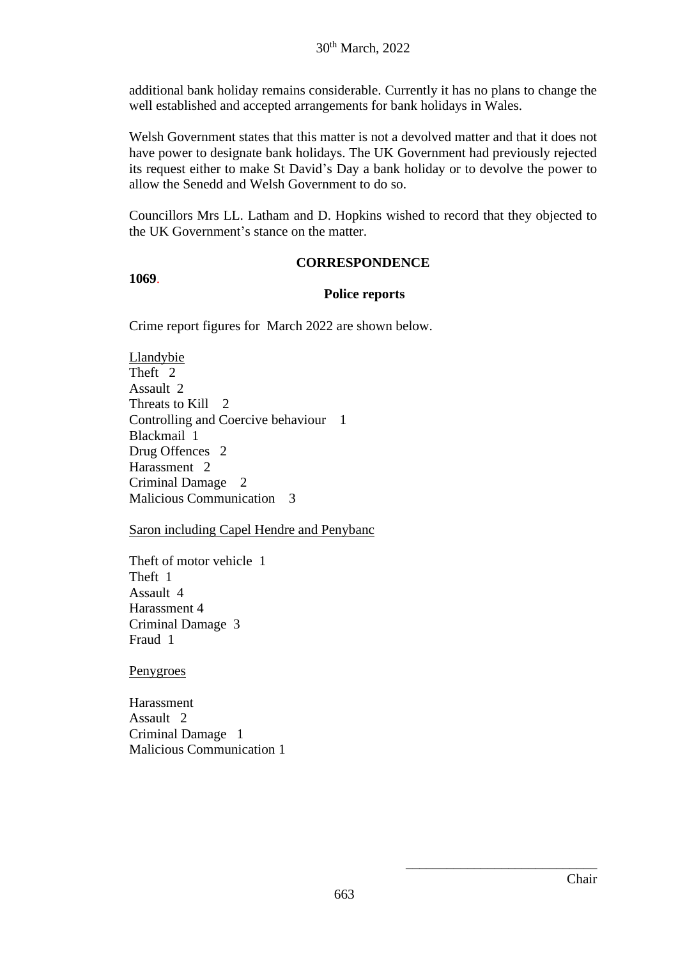additional bank holiday remains considerable. Currently it has no plans to change the well established and accepted arrangements for bank holidays in Wales.

Welsh Government states that this matter is not a devolved matter and that it does not have power to designate bank holidays. The UK Government had previously rejected its request either to make St David's Day a bank holiday or to devolve the power to allow the Senedd and Welsh Government to do so.

Councillors Mrs LL. Latham and D. Hopkins wished to record that they objected to the UK Government's stance on the matter.

#### **CORRESPONDENCE**

#### **1069**.

#### **Police reports**

Crime report figures for March 2022 are shown below.

Llandybie Theft<sup>2</sup> Assault 2 Threats to Kill 2 Controlling and Coercive behaviour 1 Blackmail 1 Drug Offences 2 Harassment 2 Criminal Damage 2 Malicious Communication 3

Saron including Capel Hendre and Penybanc

Theft of motor vehicle 1 Theft 1 Assault 4 Harassment 4 Criminal Damage 3 Fraud 1

Penygroes

Harassment Assault 2 Criminal Damage 1 Malicious Communication 1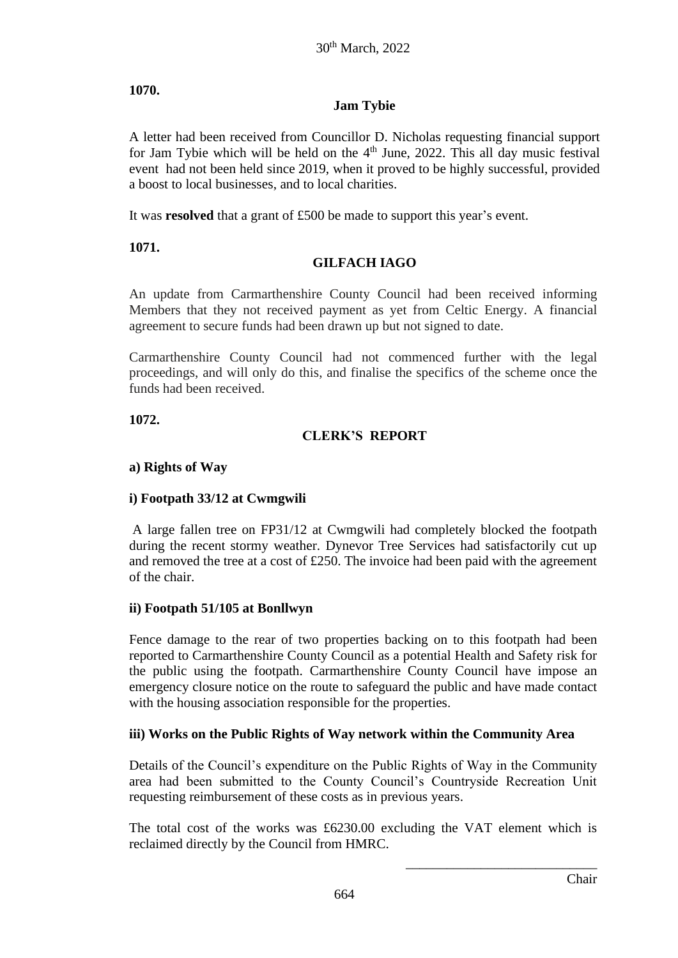# **1070.**

# **Jam Tybie**

A letter had been received from Councillor D. Nicholas requesting financial support for Jam Tybie which will be held on the  $4<sup>th</sup>$  June, 2022. This all day music festival event had not been held since 2019, when it proved to be highly successful, provided a boost to local businesses, and to local charities.

It was **resolved** that a grant of £500 be made to support this year's event.

**1071.**

# **GILFACH IAGO**

An update from Carmarthenshire County Council had been received informing Members that they not received payment as yet from Celtic Energy. A financial agreement to secure funds had been drawn up but not signed to date.

Carmarthenshire County Council had not commenced further with the legal proceedings, and will only do this, and finalise the specifics of the scheme once the funds had been received.

**1072.**

# **CLERK'S REPORT**

## **a) Rights of Way**

# **i) Footpath 33/12 at Cwmgwili**

A large fallen tree on FP31/12 at Cwmgwili had completely blocked the footpath during the recent stormy weather. Dynevor Tree Services had satisfactorily cut up and removed the tree at a cost of £250. The invoice had been paid with the agreement of the chair.

# **ii) Footpath 51/105 at Bonllwyn**

Fence damage to the rear of two properties backing on to this footpath had been reported to Carmarthenshire County Council as a potential Health and Safety risk for the public using the footpath. Carmarthenshire County Council have impose an emergency closure notice on the route to safeguard the public and have made contact with the housing association responsible for the properties.

## **iii) Works on the Public Rights of Way network within the Community Area**

Details of the Council's expenditure on the Public Rights of Way in the Community area had been submitted to the County Council's Countryside Recreation Unit requesting reimbursement of these costs as in previous years.

The total cost of the works was £6230.00 excluding the VAT element which is reclaimed directly by the Council from HMRC.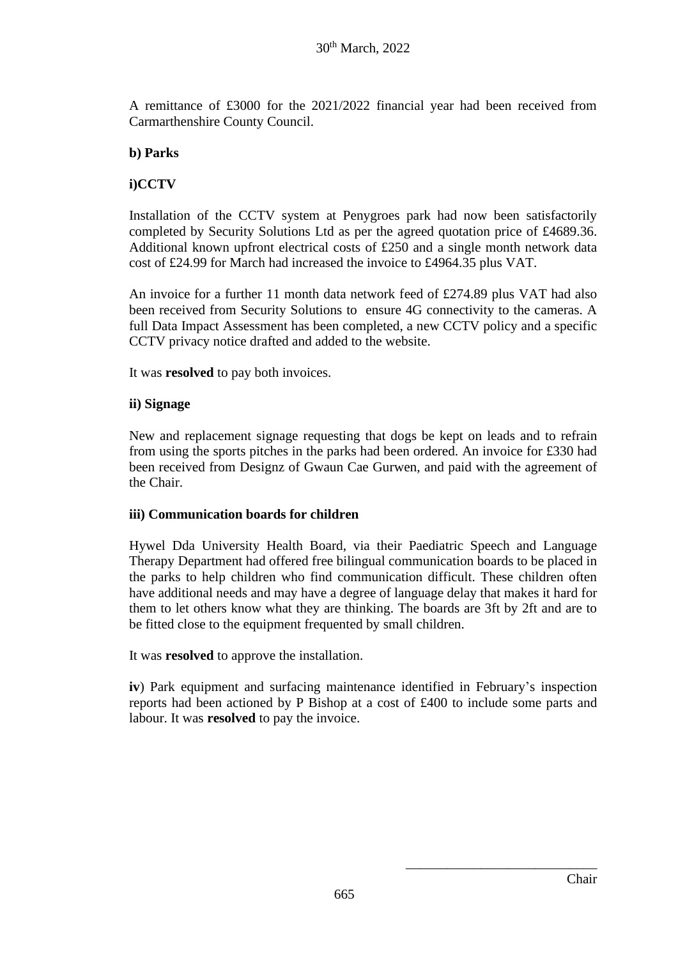A remittance of £3000 for the 2021/2022 financial year had been received from Carmarthenshire County Council.

## **b) Parks**

## **i)CCTV**

Installation of the CCTV system at Penygroes park had now been satisfactorily completed by Security Solutions Ltd as per the agreed quotation price of £4689.36. Additional known upfront electrical costs of £250 and a single month network data cost of £24.99 for March had increased the invoice to £4964.35 plus VAT.

An invoice for a further 11 month data network feed of £274.89 plus VAT had also been received from Security Solutions to ensure 4G connectivity to the cameras. A full Data Impact Assessment has been completed, a new CCTV policy and a specific CCTV privacy notice drafted and added to the website.

It was **resolved** to pay both invoices.

## **ii) Signage**

New and replacement signage requesting that dogs be kept on leads and to refrain from using the sports pitches in the parks had been ordered. An invoice for £330 had been received from Designz of Gwaun Cae Gurwen, and paid with the agreement of the Chair.

## **iii) Communication boards for children**

Hywel Dda University Health Board, via their Paediatric Speech and Language Therapy Department had offered free bilingual communication boards to be placed in the parks to help children who find communication difficult. These children often have additional needs and may have a degree of language delay that makes it hard for them to let others know what they are thinking. The boards are 3ft by 2ft and are to be fitted close to the equipment frequented by small children.

It was **resolved** to approve the installation.

**iv**) Park equipment and surfacing maintenance identified in February's inspection reports had been actioned by P Bishop at a cost of £400 to include some parts and labour. It was **resolved** to pay the invoice.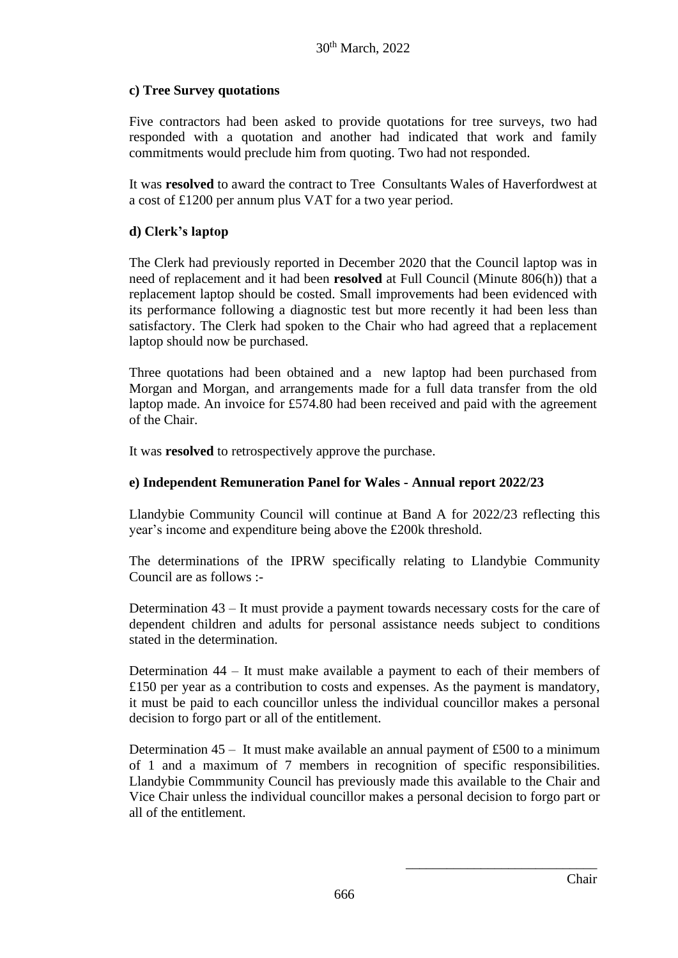# **c) Tree Survey quotations**

Five contractors had been asked to provide quotations for tree surveys, two had responded with a quotation and another had indicated that work and family commitments would preclude him from quoting. Two had not responded.

It was **resolved** to award the contract to Tree Consultants Wales of Haverfordwest at a cost of £1200 per annum plus VAT for a two year period.

## **d) Clerk's laptop**

The Clerk had previously reported in December 2020 that the Council laptop was in need of replacement and it had been **resolved** at Full Council (Minute 806(h)) that a replacement laptop should be costed. Small improvements had been evidenced with its performance following a diagnostic test but more recently it had been less than satisfactory. The Clerk had spoken to the Chair who had agreed that a replacement laptop should now be purchased.

Three quotations had been obtained and a new laptop had been purchased from Morgan and Morgan, and arrangements made for a full data transfer from the old laptop made. An invoice for £574.80 had been received and paid with the agreement of the Chair.

It was **resolved** to retrospectively approve the purchase.

## **e) Independent Remuneration Panel for Wales - Annual report 2022/23**

Llandybie Community Council will continue at Band A for 2022/23 reflecting this year's income and expenditure being above the £200k threshold.

The determinations of the IPRW specifically relating to Llandybie Community Council are as follows :-

Determination 43 – It must provide a payment towards necessary costs for the care of dependent children and adults for personal assistance needs subject to conditions stated in the determination.

Determination 44 – It must make available a payment to each of their members of £150 per year as a contribution to costs and expenses. As the payment is mandatory, it must be paid to each councillor unless the individual councillor makes a personal decision to forgo part or all of the entitlement.

Determination  $45 -$  It must make available an annual payment of £500 to a minimum of 1 and a maximum of 7 members in recognition of specific responsibilities. Llandybie Commmunity Council has previously made this available to the Chair and Vice Chair unless the individual councillor makes a personal decision to forgo part or all of the entitlement.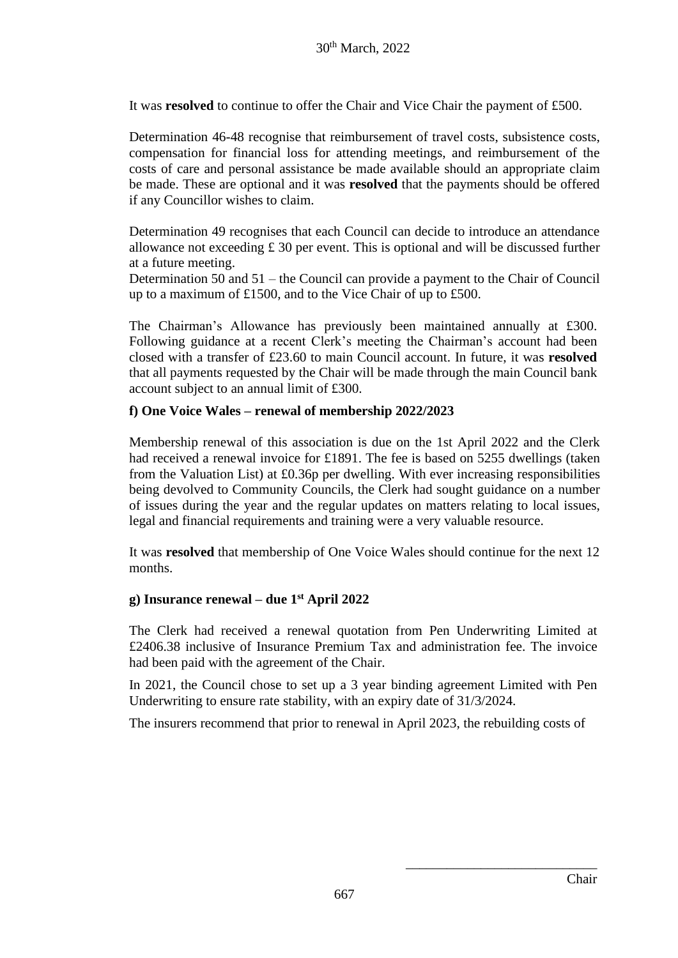It was **resolved** to continue to offer the Chair and Vice Chair the payment of £500.

Determination 46-48 recognise that reimbursement of travel costs, subsistence costs, compensation for financial loss for attending meetings, and reimbursement of the costs of care and personal assistance be made available should an appropriate claim be made. These are optional and it was **resolved** that the payments should be offered if any Councillor wishes to claim.

Determination 49 recognises that each Council can decide to introduce an attendance allowance not exceeding  $\pounds$  30 per event. This is optional and will be discussed further at a future meeting.

Determination 50 and 51 – the Council can provide a payment to the Chair of Council up to a maximum of £1500, and to the Vice Chair of up to £500.

The Chairman's Allowance has previously been maintained annually at £300. Following guidance at a recent Clerk's meeting the Chairman's account had been closed with a transfer of £23.60 to main Council account. In future, it was **resolved** that all payments requested by the Chair will be made through the main Council bank account subject to an annual limit of £300.

## **f) One Voice Wales – renewal of membership 2022/2023**

Membership renewal of this association is due on the 1st April 2022 and the Clerk had received a renewal invoice for £1891. The fee is based on 5255 dwellings (taken from the Valuation List) at £0.36p per dwelling. With ever increasing responsibilities being devolved to Community Councils, the Clerk had sought guidance on a number of issues during the year and the regular updates on matters relating to local issues, legal and financial requirements and training were a very valuable resource.

It was **resolved** that membership of One Voice Wales should continue for the next 12 months.

## **g) Insurance renewal – due 1st April 2022**

The Clerk had received a renewal quotation from Pen Underwriting Limited at £2406.38 inclusive of Insurance Premium Tax and administration fee. The invoice had been paid with the agreement of the Chair.

In 2021, the Council chose to set up a 3 year binding agreement Limited with Pen Underwriting to ensure rate stability, with an expiry date of 31/3/2024.

The insurers recommend that prior to renewal in April 2023, the rebuilding costs of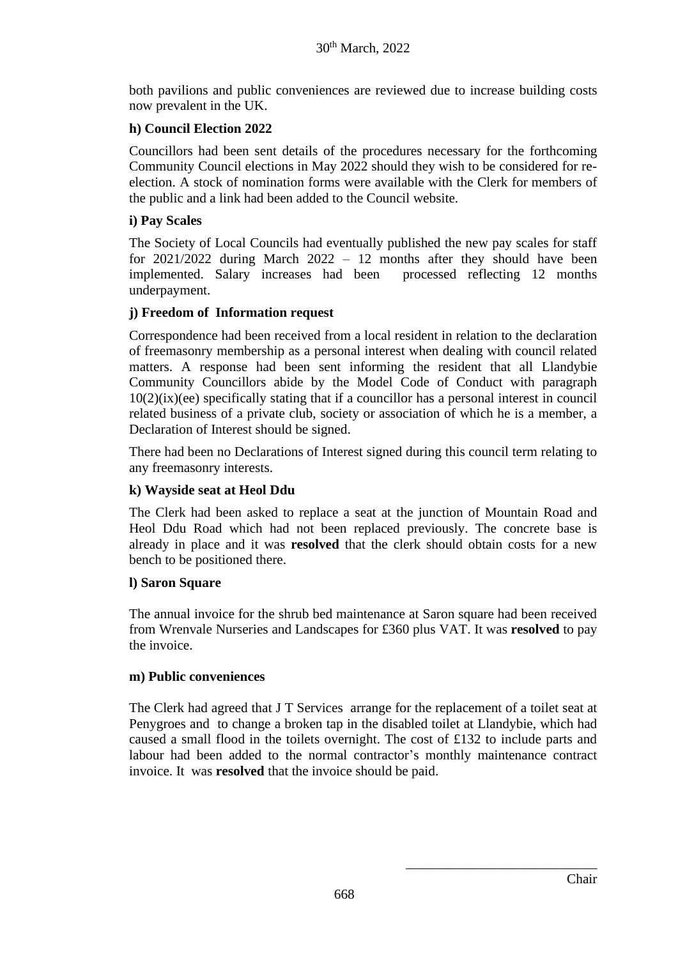both pavilions and public conveniences are reviewed due to increase building costs now prevalent in the UK.

# **h) Council Election 2022**

Councillors had been sent details of the procedures necessary for the forthcoming Community Council elections in May 2022 should they wish to be considered for reelection. A stock of nomination forms were available with the Clerk for members of the public and a link had been added to the Council website.

## **i) Pay Scales**

The Society of Local Councils had eventually published the new pay scales for staff for 2021/2022 during March 2022 – 12 months after they should have been implemented. Salary increases had been processed reflecting 12 months underpayment.

## **j) Freedom of Information request**

Correspondence had been received from a local resident in relation to the declaration of freemasonry membership as a personal interest when dealing with council related matters. A response had been sent informing the resident that all Llandybie Community Councillors abide by the Model Code of Conduct with paragraph 10(2)(ix)(ee) specifically stating that if a councillor has a personal interest in council related business of a private club, society or association of which he is a member, a Declaration of Interest should be signed.

There had been no Declarations of Interest signed during this council term relating to any freemasonry interests.

## **k) Wayside seat at Heol Ddu**

The Clerk had been asked to replace a seat at the junction of Mountain Road and Heol Ddu Road which had not been replaced previously. The concrete base is already in place and it was **resolved** that the clerk should obtain costs for a new bench to be positioned there.

## **l) Saron Square**

The annual invoice for the shrub bed maintenance at Saron square had been received from Wrenvale Nurseries and Landscapes for £360 plus VAT. It was **resolved** to pay the invoice.

## **m) Public conveniences**

The Clerk had agreed that J T Services arrange for the replacement of a toilet seat at Penygroes and to change a broken tap in the disabled toilet at Llandybie, which had caused a small flood in the toilets overnight. The cost of £132 to include parts and labour had been added to the normal contractor's monthly maintenance contract invoice. It was **resolved** that the invoice should be paid.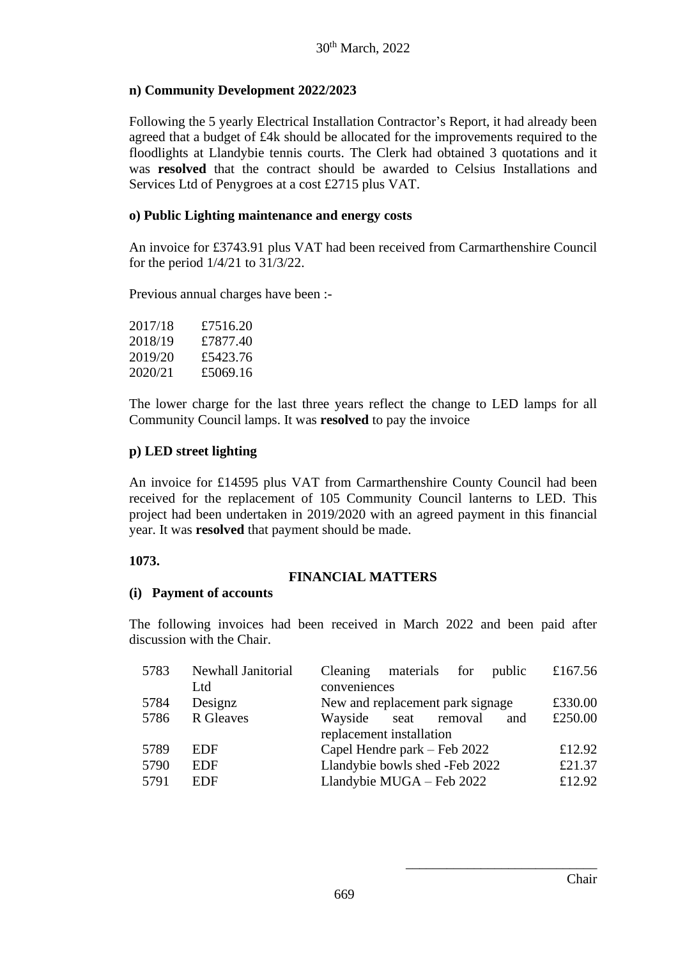## **n) Community Development 2022/2023**

Following the 5 yearly Electrical Installation Contractor's Report, it had already been agreed that a budget of £4k should be allocated for the improvements required to the floodlights at Llandybie tennis courts. The Clerk had obtained 3 quotations and it was **resolved** that the contract should be awarded to Celsius Installations and Services Ltd of Penygroes at a cost £2715 plus VAT.

## **o) Public Lighting maintenance and energy costs**

An invoice for £3743.91 plus VAT had been received from Carmarthenshire Council for the period 1/4/21 to 31/3/22.

Previous annual charges have been :-

| 2017/18 | £7516.20 |
|---------|----------|
| 2018/19 | £7877.40 |
| 2019/20 | £5423.76 |
| 2020/21 | £5069.16 |

The lower charge for the last three years reflect the change to LED lamps for all Community Council lamps. It was **resolved** to pay the invoice

## **p) LED street lighting**

An invoice for £14595 plus VAT from Carmarthenshire County Council had been received for the replacement of 105 Community Council lanterns to LED. This project had been undertaken in 2019/2020 with an agreed payment in this financial year. It was **resolved** that payment should be made.

## **1073.**

## **FINANCIAL MATTERS**

#### **(i) Payment of accounts**

The following invoices had been received in March 2022 and been paid after discussion with the Chair.

| 5783 | Newhall Janitorial | Cleaning materials for<br>public  | £167.56 |
|------|--------------------|-----------------------------------|---------|
|      | Ltd                | conveniences                      |         |
| 5784 | Designz            | New and replacement park signage  | £330.00 |
| 5786 | R Gleaves          | Wayside<br>seat<br>removal<br>and | £250.00 |
|      |                    | replacement installation          |         |
| 5789 | <b>EDF</b>         | Capel Hendre park – Feb 2022      | £12.92  |
| 5790 | <b>EDF</b>         | Llandybie bowls shed -Feb 2022    | £21.37  |
| 5791 | <b>EDF</b>         | Llandybie MUGA - Feb 2022         | £12.92  |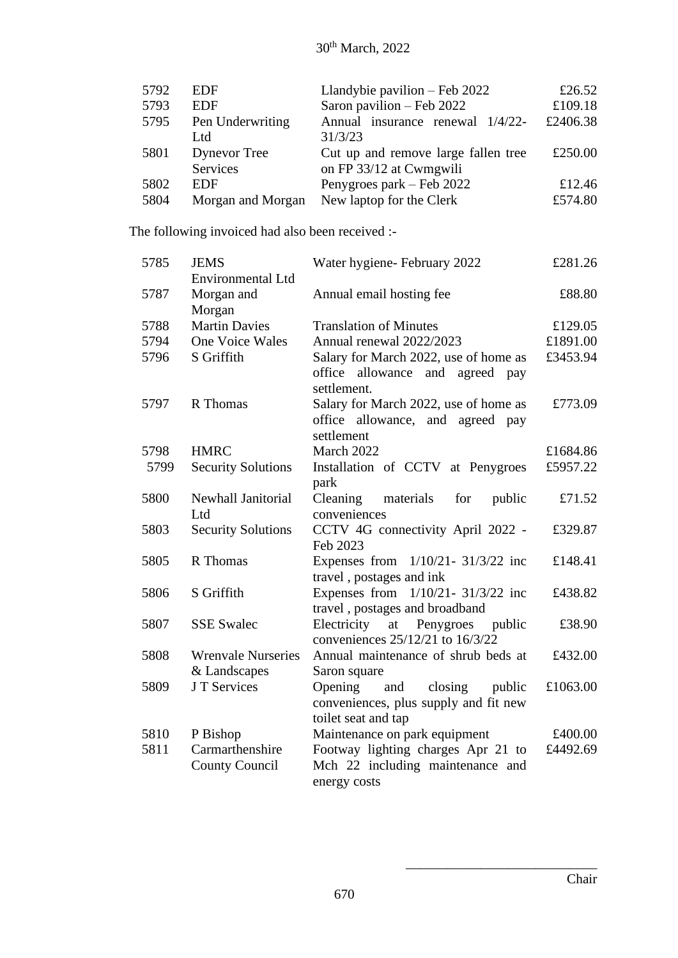| 5792 | <b>EDF</b>          | Llandybie pavilion $-$ Feb 2022      | £26.52   |
|------|---------------------|--------------------------------------|----------|
| 5793 | <b>EDF</b>          | Saron pavilion - Feb 2022<br>£109.18 |          |
| 5795 | Pen Underwriting    | Annual insurance renewal 1/4/22-     | £2406.38 |
|      | Ltd                 | 31/3/23                              |          |
| 5801 | <b>Dynevor</b> Tree | Cut up and remove large fallen tree  | £250.00  |
|      | Services            | on FP 33/12 at Cwmgwili              |          |
| 5802 | EDF                 | Penygroes park – Feb 2022            | £12.46   |
| 5804 | Morgan and Morgan   | New laptop for the Clerk             | £574.80  |

The following invoiced had also been received :-

| 5785 | <b>JEMS</b><br>Environmental Ltd          | Water hygiene- February 2022                                                                        | £281.26  |
|------|-------------------------------------------|-----------------------------------------------------------------------------------------------------|----------|
| 5787 | Morgan and<br>Morgan                      | Annual email hosting fee                                                                            | £88.80   |
| 5788 | <b>Martin Davies</b>                      | <b>Translation of Minutes</b>                                                                       | £129.05  |
| 5794 | One Voice Wales                           | Annual renewal 2022/2023                                                                            | £1891.00 |
| 5796 | S Griffith                                | Salary for March 2022, use of home as<br>office allowance and agreed pay<br>settlement.             | £3453.94 |
| 5797 | R Thomas                                  | Salary for March 2022, use of home as<br>office allowance, and agreed pay<br>settlement             | £773.09  |
| 5798 | <b>HMRC</b>                               | March 2022                                                                                          | £1684.86 |
| 5799 | <b>Security Solutions</b>                 | Installation of CCTV at Penygroes<br>park                                                           | £5957.22 |
| 5800 | Newhall Janitorial<br>Ltd                 | materials<br>Cleaning<br>for<br>public<br>conveniences                                              | £71.52   |
| 5803 | <b>Security Solutions</b>                 | CCTV 4G connectivity April 2022 -<br>Feb 2023                                                       | £329.87  |
| 5805 | R Thomas                                  | Expenses from $1/10/21 - 31/3/22$ inc<br>travel, postages and ink                                   | £148.41  |
| 5806 | S Griffith                                | Expenses from $1/10/21 - 31/3/22$ inc<br>travel, postages and broadband                             | £438.82  |
| 5807 | <b>SSE Swalec</b>                         | Electricity<br>at Penygroes<br>public<br>conveniences 25/12/21 to 16/3/22                           | £38.90   |
| 5808 | <b>Wrenvale Nurseries</b><br>& Landscapes | Annual maintenance of shrub beds at<br>Saron square                                                 | £432.00  |
| 5809 | J T Services                              | Opening<br>closing<br>and<br>public<br>conveniences, plus supply and fit new<br>toilet seat and tap | £1063.00 |
| 5810 | P Bishop                                  | Maintenance on park equipment                                                                       | £400.00  |
| 5811 | Carmarthenshire<br><b>County Council</b>  | Footway lighting charges Apr 21 to<br>Mch 22 including maintenance and<br>energy costs              | £4492.69 |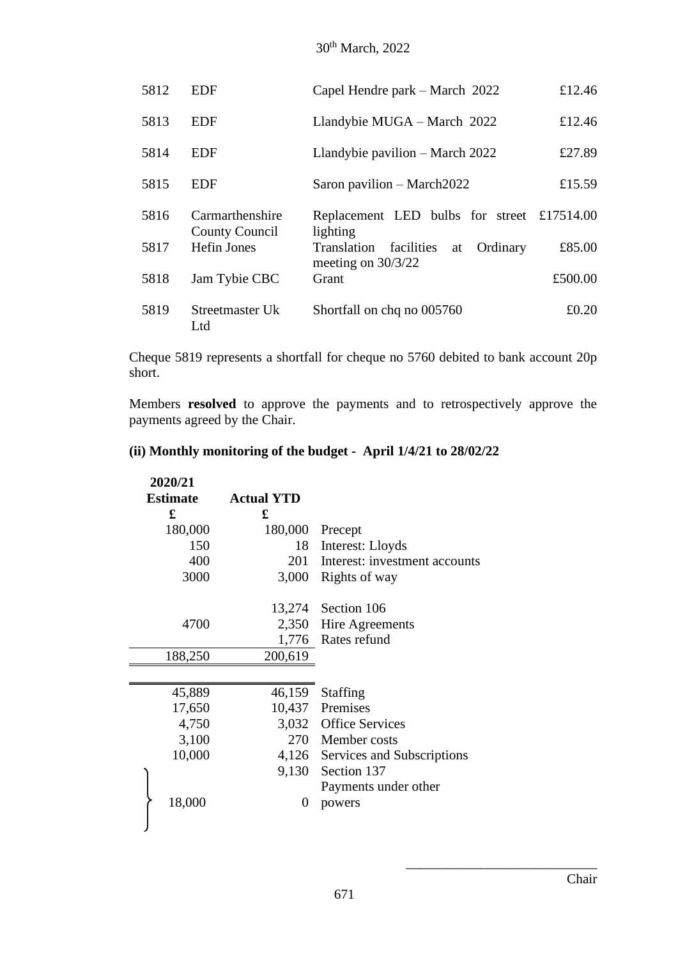# 30th March, 2022

| 5812 | EDF                               | Capel Hendre park – March 2022                                   | £12.46  |
|------|-----------------------------------|------------------------------------------------------------------|---------|
| 5813 | EDF                               | Llandybie MUGA - March 2022                                      | £12.46  |
| 5814 | EDF                               | Llandybie pavilion – March 2022                                  | £27.89  |
| 5815 | EDF                               | Saron pavilion $-$ March 2022                                    | £15.59  |
| 5816 | Carmarthenshire<br>County Council | Replacement LED bulbs for street £17514.00<br>lighting           |         |
| 5817 | <b>Hefin Jones</b>                | Translation facilities<br>Ordinary<br>at<br>meeting on $30/3/22$ | £85.00  |
| 5818 | Jam Tybie CBC                     | Grant                                                            | £500.00 |
| 5819 | Streetmaster Uk<br>Ltd            | Shortfall on chq no 005760                                       | £0.20   |

Cheque 5819 represents a shortfall for cheque no 5760 debited to bank account 20p short.

Members **resolved** to approve the payments and to retrospectively approve the payments agreed by the Chair.

# **(ii) Monthly monitoring of the budget - April 1/4/21 to 28/02/22**

| 2020/21         |                   |                                   |
|-----------------|-------------------|-----------------------------------|
| <b>Estimate</b> | <b>Actual YTD</b> |                                   |
| £               | £                 |                                   |
| 180,000         | 180,000           | Precept                           |
| 150             | 18                | Interest: Lloyds                  |
| 400             |                   | 201 Interest: investment accounts |
| 3000            | 3,000             | Rights of way                     |
|                 |                   | 13,274 Section 106                |
| 4700            |                   | 2,350 Hire Agreements             |
|                 |                   | 1,776 Rates refund                |
| 188,250         | 200,619           |                                   |
|                 |                   |                                   |
| 45,889          | 46,159            | <b>Staffing</b>                   |
| 17,650          |                   | 10,437 Premises                   |
| 4,750           |                   | 3,032 Office Services             |
| 3,100           |                   | 270 Member costs                  |
| 10,000          |                   | 4,126 Services and Subscriptions  |
|                 | 9,130             | Section 137                       |
|                 |                   | Payments under other              |
| 18,000          | $\theta$          | powers                            |
|                 |                   |                                   |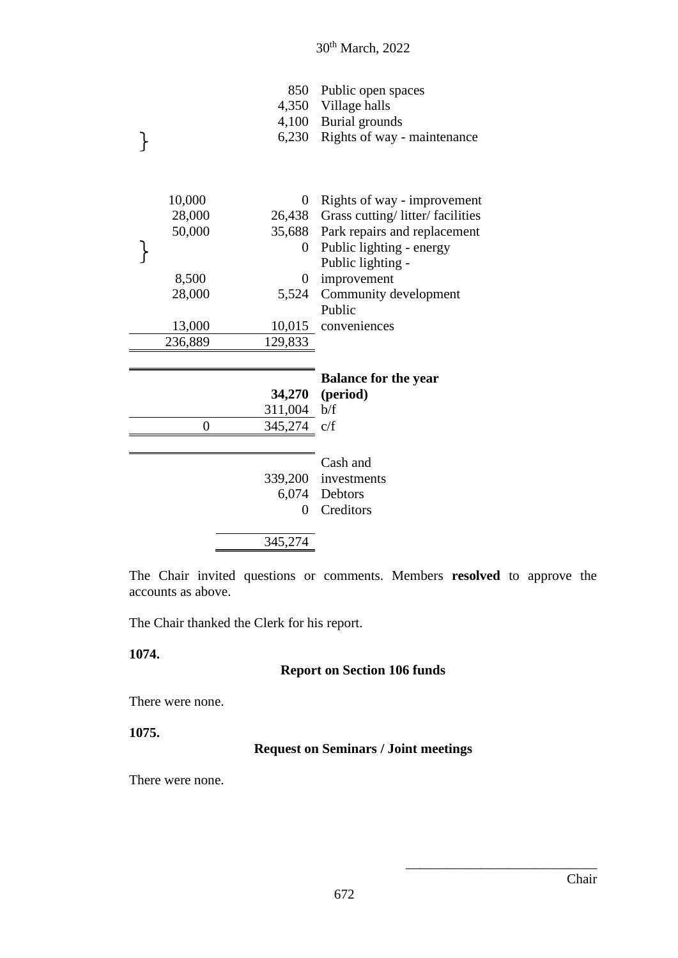| 850 Public open spaces            |
|-----------------------------------|
| 4,350 Village halls               |
| 4,100 Burial grounds              |
| 6,230 Rights of way - maintenance |
|                                   |

| 10,000    | 0              | Rights of way - improvement            |
|-----------|----------------|----------------------------------------|
| 28,000    |                | 26,438 Grass cutting/litter/facilities |
| 50,000    | 35,688         | Park repairs and replacement           |
|           | $\overline{0}$ | Public lighting - energy               |
|           |                | Public lighting -                      |
| 8,500     | $\Omega$       | improvement                            |
| 28,000    | 5,524          | Community development                  |
|           |                | Public                                 |
| 13,000    |                | 10,015 conveniences                    |
| 236,889   | 129,833        |                                        |
|           |                |                                        |
|           |                | <b>Balance for the year</b>            |
|           |                | 34,270 (period)                        |
|           | 311,004 b/f    |                                        |
| $\pmb{0}$ | 345,274        | c/f                                    |
|           |                |                                        |
|           |                | Cash and                               |
|           |                | 339,200 investments                    |
|           |                | 6,074 Debtors                          |
|           | 0              | Creditors                              |
|           |                |                                        |
|           | 345,274        |                                        |

The Chair invited questions or comments. Members **resolved** to approve the accounts as above.

The Chair thanked the Clerk for his report.

#### **1074.**

 $\}$ 

# **Report on Section 106 funds**

There were none.

**1075.**

## **Request on Seminars / Joint meetings**

There were none.